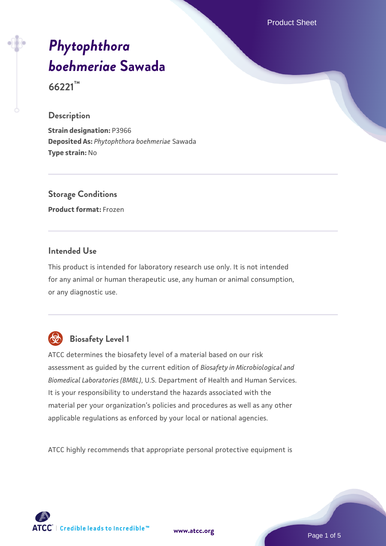Product Sheet

# *[Phytophthora](https://www.atcc.org/products/66221) [boehmeriae](https://www.atcc.org/products/66221)* **[Sawada](https://www.atcc.org/products/66221)**

**66221™**

#### **Description**

**Strain designation:** P3966 **Deposited As:** *Phytophthora boehmeriae* Sawada **Type strain:** No

# **Storage Conditions**

**Product format:** Frozen

#### **Intended Use**

This product is intended for laboratory research use only. It is not intended for any animal or human therapeutic use, any human or animal consumption, or any diagnostic use.



## **Biosafety Level 1**

ATCC determines the biosafety level of a material based on our risk assessment as guided by the current edition of *Biosafety in Microbiological and Biomedical Laboratories (BMBL)*, U.S. Department of Health and Human Services. It is your responsibility to understand the hazards associated with the material per your organization's policies and procedures as well as any other applicable regulations as enforced by your local or national agencies.

ATCC highly recommends that appropriate personal protective equipment is



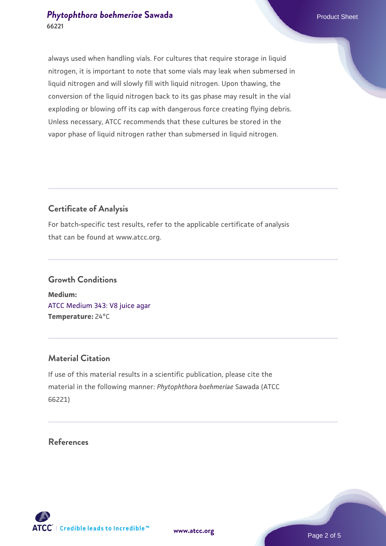#### **[Phytophthora boehmeriae](https://www.atcc.org/products/66221) [Sawada](https://www.atcc.org/products/66221)** Product Sheet **66221**

always used when handling vials. For cultures that require storage in liquid nitrogen, it is important to note that some vials may leak when submersed in liquid nitrogen and will slowly fill with liquid nitrogen. Upon thawing, the conversion of the liquid nitrogen back to its gas phase may result in the vial exploding or blowing off its cap with dangerous force creating flying debris. Unless necessary, ATCC recommends that these cultures be stored in the vapor phase of liquid nitrogen rather than submersed in liquid nitrogen.

#### **Certificate of Analysis**

For batch-specific test results, refer to the applicable certificate of analysis that can be found at www.atcc.org.

## **Growth Conditions Medium:**  [ATCC Medium 343: V8 juice agar](https://www.atcc.org/-/media/product-assets/documents/microbial-media-formulations/3/4/3/atcc-medium-0343.pdf?rev=fbf48fa24e664932828269db1822ab12)

**Temperature:** 24°C

#### **Material Citation**

If use of this material results in a scientific publication, please cite the material in the following manner: *Phytophthora boehmeriae* Sawada (ATCC 66221)

#### **References**

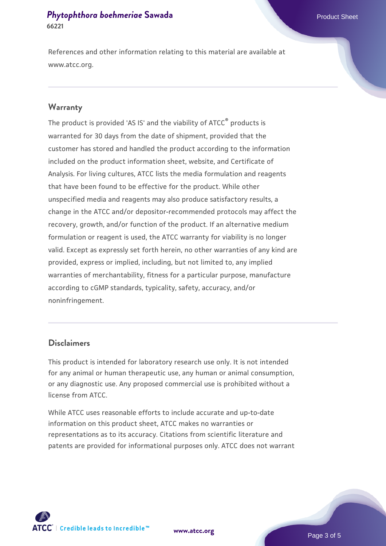#### **[Phytophthora boehmeriae](https://www.atcc.org/products/66221) [Sawada](https://www.atcc.org/products/66221)** Product Sheet **66221**

References and other information relating to this material are available at www.atcc.org.

#### **Warranty**

The product is provided 'AS IS' and the viability of ATCC® products is warranted for 30 days from the date of shipment, provided that the customer has stored and handled the product according to the information included on the product information sheet, website, and Certificate of Analysis. For living cultures, ATCC lists the media formulation and reagents that have been found to be effective for the product. While other unspecified media and reagents may also produce satisfactory results, a change in the ATCC and/or depositor-recommended protocols may affect the recovery, growth, and/or function of the product. If an alternative medium formulation or reagent is used, the ATCC warranty for viability is no longer valid. Except as expressly set forth herein, no other warranties of any kind are provided, express or implied, including, but not limited to, any implied warranties of merchantability, fitness for a particular purpose, manufacture according to cGMP standards, typicality, safety, accuracy, and/or noninfringement.

#### **Disclaimers**

This product is intended for laboratory research use only. It is not intended for any animal or human therapeutic use, any human or animal consumption, or any diagnostic use. Any proposed commercial use is prohibited without a license from ATCC.

While ATCC uses reasonable efforts to include accurate and up-to-date information on this product sheet, ATCC makes no warranties or representations as to its accuracy. Citations from scientific literature and patents are provided for informational purposes only. ATCC does not warrant



**[www.atcc.org](http://www.atcc.org)**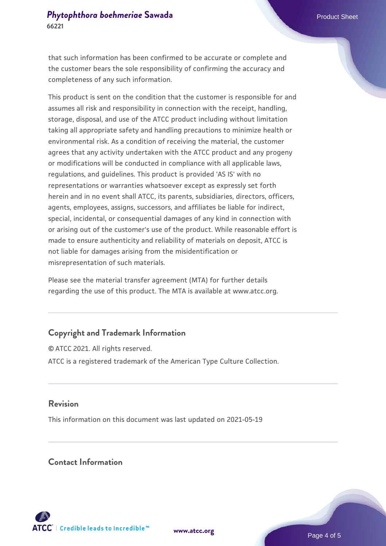that such information has been confirmed to be accurate or complete and the customer bears the sole responsibility of confirming the accuracy and completeness of any such information.

This product is sent on the condition that the customer is responsible for and assumes all risk and responsibility in connection with the receipt, handling, storage, disposal, and use of the ATCC product including without limitation taking all appropriate safety and handling precautions to minimize health or environmental risk. As a condition of receiving the material, the customer agrees that any activity undertaken with the ATCC product and any progeny or modifications will be conducted in compliance with all applicable laws, regulations, and guidelines. This product is provided 'AS IS' with no representations or warranties whatsoever except as expressly set forth herein and in no event shall ATCC, its parents, subsidiaries, directors, officers, agents, employees, assigns, successors, and affiliates be liable for indirect, special, incidental, or consequential damages of any kind in connection with or arising out of the customer's use of the product. While reasonable effort is made to ensure authenticity and reliability of materials on deposit, ATCC is not liable for damages arising from the misidentification or misrepresentation of such materials.

Please see the material transfer agreement (MTA) for further details regarding the use of this product. The MTA is available at www.atcc.org.

#### **Copyright and Trademark Information**

© ATCC 2021. All rights reserved. ATCC is a registered trademark of the American Type Culture Collection.

#### **Revision**

This information on this document was last updated on 2021-05-19

#### **Contact Information**